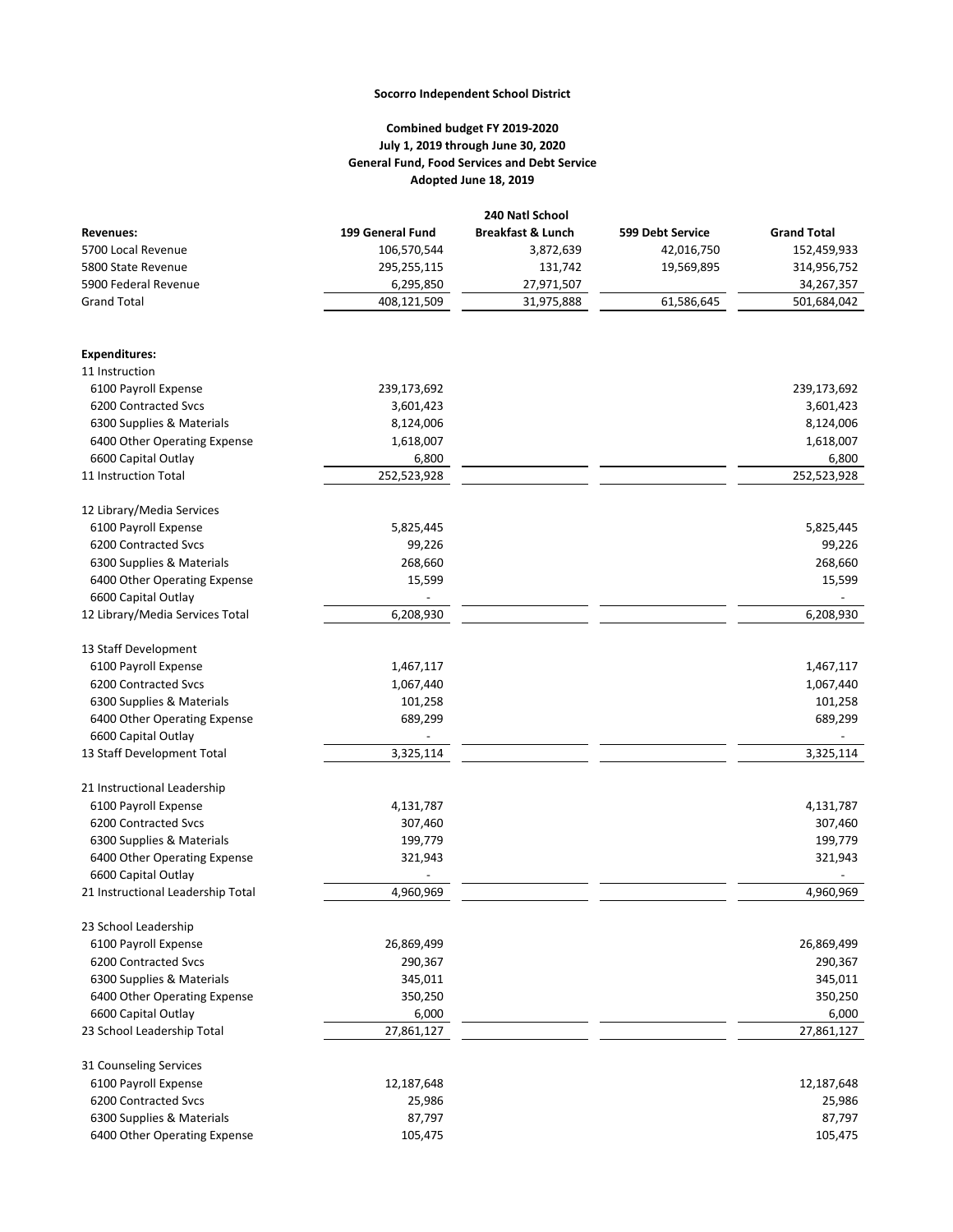## **Socorro Independent School District**

## **Combined budget FY 2019-2020 July 1, 2019 through June 30, 2020 General Fund, Food Services and Debt Service Adopted June 18, 2019**

| <b>Revenues:</b>                                    | 199 General Fund | <b>Breakfast &amp; Lunch</b> | 599 Debt Service | <b>Grand Total</b> |
|-----------------------------------------------------|------------------|------------------------------|------------------|--------------------|
| 5700 Local Revenue                                  | 106,570,544      | 3,872,639                    | 42,016,750       | 152,459,933        |
| 5800 State Revenue                                  | 295,255,115      | 131,742                      | 19,569,895       | 314,956,752        |
| 5900 Federal Revenue                                | 6,295,850        | 27,971,507                   |                  | 34,267,357         |
| <b>Grand Total</b>                                  | 408,121,509      | 31,975,888                   | 61,586,645       | 501,684,042        |
| <b>Expenditures:</b>                                |                  |                              |                  |                    |
| 11 Instruction                                      |                  |                              |                  |                    |
| 6100 Payroll Expense                                | 239,173,692      |                              |                  | 239,173,692        |
| 6200 Contracted Svcs                                | 3,601,423        |                              |                  | 3,601,423          |
| 6300 Supplies & Materials                           | 8,124,006        |                              |                  | 8,124,006          |
| 6400 Other Operating Expense                        | 1,618,007        |                              |                  | 1,618,007          |
| 6600 Capital Outlay                                 | 6,800            |                              |                  | 6,800              |
| 11 Instruction Total                                | 252,523,928      |                              |                  | 252,523,928        |
| 12 Library/Media Services                           |                  |                              |                  |                    |
| 6100 Payroll Expense                                | 5,825,445        |                              |                  | 5,825,445          |
| 6200 Contracted Svcs                                | 99,226           |                              |                  | 99,226             |
| 6300 Supplies & Materials                           | 268,660          |                              |                  | 268,660            |
| 6400 Other Operating Expense                        | 15,599           |                              |                  | 15,599             |
| 6600 Capital Outlay                                 |                  |                              |                  |                    |
| 12 Library/Media Services Total                     | 6,208,930        |                              |                  | 6,208,930          |
| 13 Staff Development                                |                  |                              |                  |                    |
| 6100 Payroll Expense                                | 1,467,117        |                              |                  | 1,467,117          |
| 6200 Contracted Svcs                                | 1,067,440        |                              |                  | 1,067,440          |
| 6300 Supplies & Materials                           | 101,258          |                              |                  | 101,258            |
| 6400 Other Operating Expense                        | 689,299          |                              |                  | 689,299            |
| 6600 Capital Outlay                                 |                  |                              |                  |                    |
| 13 Staff Development Total                          | 3,325,114        |                              |                  | 3,325,114          |
| 21 Instructional Leadership                         |                  |                              |                  |                    |
| 6100 Payroll Expense                                | 4,131,787        |                              |                  | 4,131,787          |
| 6200 Contracted Svcs                                | 307,460          |                              |                  | 307,460            |
| 6300 Supplies & Materials                           | 199,779          |                              |                  | 199,779            |
| 6400 Other Operating Expense<br>6600 Capital Outlay | 321,943          |                              |                  | 321,943            |
| 21 Instructional Leadership Total                   | 4,960,969        |                              |                  | 4,960,969          |
| 23 School Leadership                                |                  |                              |                  |                    |
| 6100 Payroll Expense                                | 26,869,499       |                              |                  | 26,869,499         |
| 6200 Contracted Svcs                                | 290,367          |                              |                  | 290,367            |
| 6300 Supplies & Materials                           | 345,011          |                              |                  | 345,011            |
| 6400 Other Operating Expense                        | 350,250          |                              |                  | 350,250            |
| 6600 Capital Outlay                                 | 6,000            |                              |                  | 6,000              |
| 23 School Leadership Total                          | 27,861,127       |                              |                  | 27,861,127         |
| 31 Counseling Services                              |                  |                              |                  |                    |
| 6100 Payroll Expense                                | 12,187,648       |                              |                  | 12,187,648         |
| 6200 Contracted Svcs                                | 25,986           |                              |                  | 25,986             |
| 6300 Supplies & Materials                           | 87,797           |                              |                  | 87,797             |
| 6400 Other Operating Expense                        | 105,475          |                              |                  | 105,475            |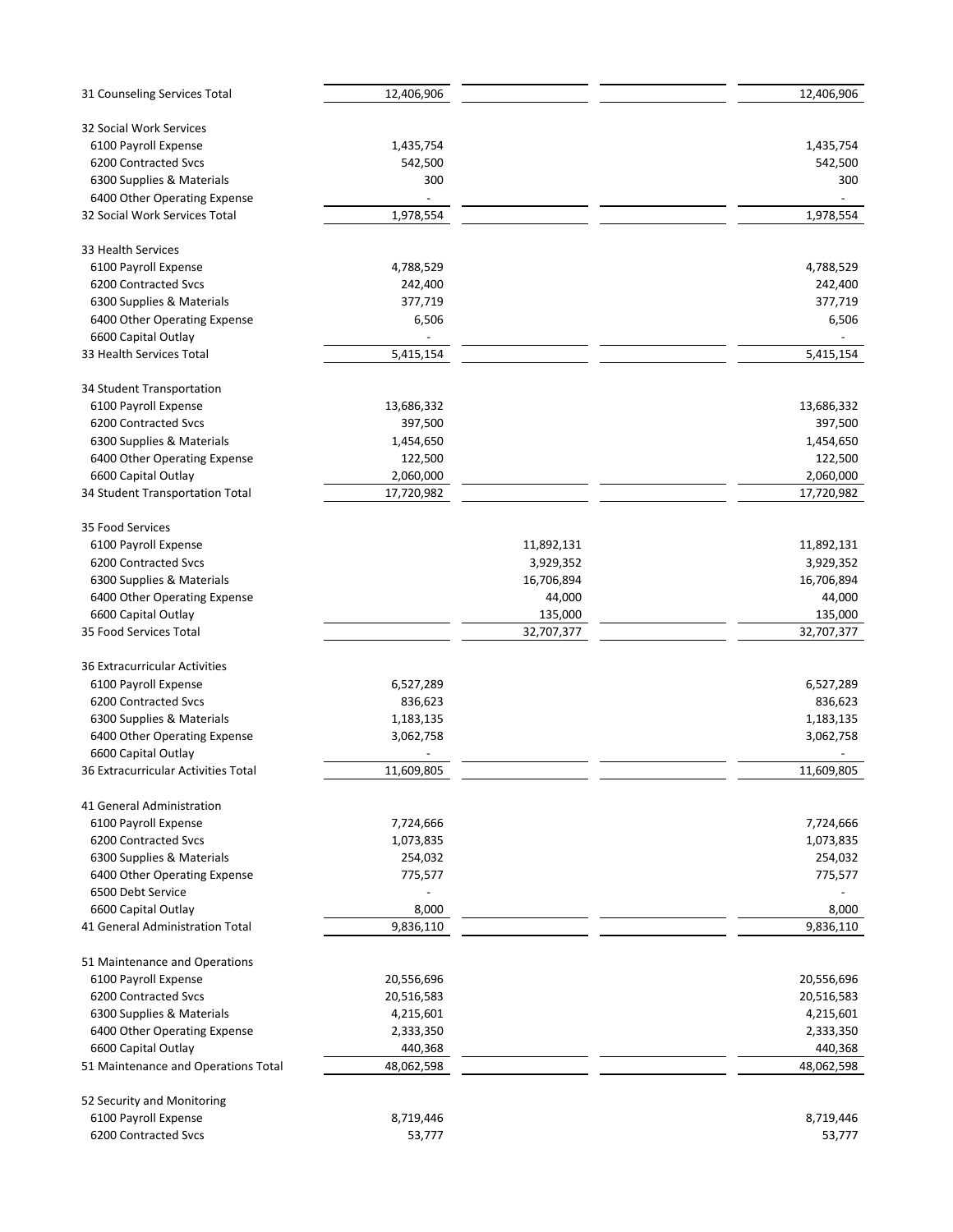| 31 Counseling Services Total                      | 12,406,906 |            | 12,406,906 |
|---------------------------------------------------|------------|------------|------------|
| 32 Social Work Services                           |            |            |            |
| 6100 Payroll Expense                              | 1,435,754  |            | 1,435,754  |
| 6200 Contracted Svcs                              | 542,500    |            | 542,500    |
| 6300 Supplies & Materials                         | 300        |            | 300        |
| 6400 Other Operating Expense                      |            |            |            |
| 32 Social Work Services Total                     | 1,978,554  |            | 1,978,554  |
|                                                   |            |            |            |
| 33 Health Services                                |            |            |            |
| 6100 Payroll Expense                              | 4,788,529  |            | 4,788,529  |
| 6200 Contracted Svcs                              | 242,400    |            | 242,400    |
| 6300 Supplies & Materials                         | 377,719    |            | 377,719    |
| 6400 Other Operating Expense                      | 6,506      |            | 6,506      |
| 6600 Capital Outlay                               |            |            |            |
| 33 Health Services Total                          | 5,415,154  |            | 5,415,154  |
|                                                   |            |            |            |
| 34 Student Transportation                         |            |            |            |
| 6100 Payroll Expense                              | 13,686,332 |            | 13,686,332 |
| 6200 Contracted Svcs                              | 397,500    |            | 397,500    |
| 6300 Supplies & Materials                         | 1,454,650  |            | 1,454,650  |
| 6400 Other Operating Expense                      | 122,500    |            | 122,500    |
| 6600 Capital Outlay                               | 2,060,000  |            | 2,060,000  |
| 34 Student Transportation Total                   | 17,720,982 |            | 17,720,982 |
| 35 Food Services                                  |            |            |            |
| 6100 Payroll Expense                              |            | 11,892,131 | 11,892,131 |
| 6200 Contracted Svcs                              |            | 3,929,352  | 3,929,352  |
| 6300 Supplies & Materials                         |            | 16,706,894 | 16,706,894 |
| 6400 Other Operating Expense                      |            | 44,000     | 44,000     |
| 6600 Capital Outlay                               |            | 135,000    | 135,000    |
| 35 Food Services Total                            |            | 32,707,377 | 32,707,377 |
|                                                   |            |            |            |
| 36 Extracurricular Activities                     |            |            |            |
| 6100 Payroll Expense                              | 6,527,289  |            | 6,527,289  |
| 6200 Contracted Svcs                              | 836,623    |            | 836,623    |
| 6300 Supplies & Materials                         | 1,183,135  |            | 1,183,135  |
| 6400 Other Operating Expense                      | 3,062,758  |            | 3,062,758  |
| 6600 Capital Outlay                               |            |            |            |
| 36 Extracurricular Activities Total               | 11,609,805 |            | 11,609,805 |
|                                                   |            |            |            |
| 41 General Administration<br>6100 Payroll Expense | 7,724,666  |            | 7,724,666  |
| 6200 Contracted Svcs                              | 1,073,835  |            | 1,073,835  |
| 6300 Supplies & Materials                         | 254,032    |            | 254,032    |
|                                                   | 775,577    |            |            |
| 6400 Other Operating Expense<br>6500 Debt Service |            |            | 775,577    |
|                                                   |            |            |            |
| 6600 Capital Outlay                               | 8,000      |            | 8,000      |
| 41 General Administration Total                   | 9,836,110  |            | 9,836,110  |
| 51 Maintenance and Operations                     |            |            |            |
| 6100 Payroll Expense                              | 20,556,696 |            | 20,556,696 |
| 6200 Contracted Svcs                              | 20,516,583 |            | 20,516,583 |
| 6300 Supplies & Materials                         | 4,215,601  |            | 4,215,601  |
| 6400 Other Operating Expense                      | 2,333,350  |            | 2,333,350  |
| 6600 Capital Outlay                               | 440,368    |            | 440,368    |
| 51 Maintenance and Operations Total               | 48,062,598 |            | 48,062,598 |
|                                                   |            |            |            |
| 52 Security and Monitoring                        |            |            |            |
| 6100 Payroll Expense                              | 8,719,446  |            | 8,719,446  |
| 6200 Contracted Svcs                              | 53,777     |            | 53,777     |